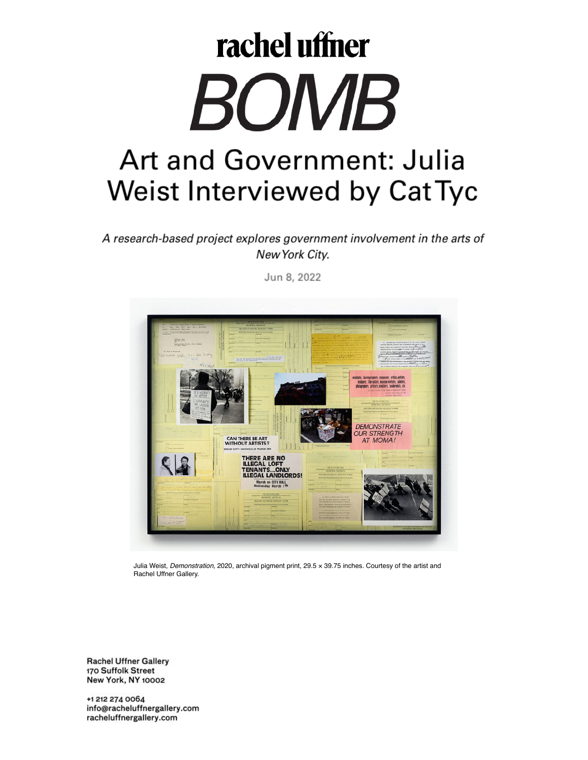# rachel uffner BOMB Art and Government: Julia Weist Interviewed by Cat Tyc

A research-based project explores government involvement in the arts of New York City.

Jun 8, 2022



Julia Weist, *Demonstration*, 2020, archival pigment print, 29.5 × 39.75 inches. Courtesy of the artist and Rachel Uffner Gallery.

**Rachel Uffner Gallery** 170 Suffolk Street **New York, NY 10002**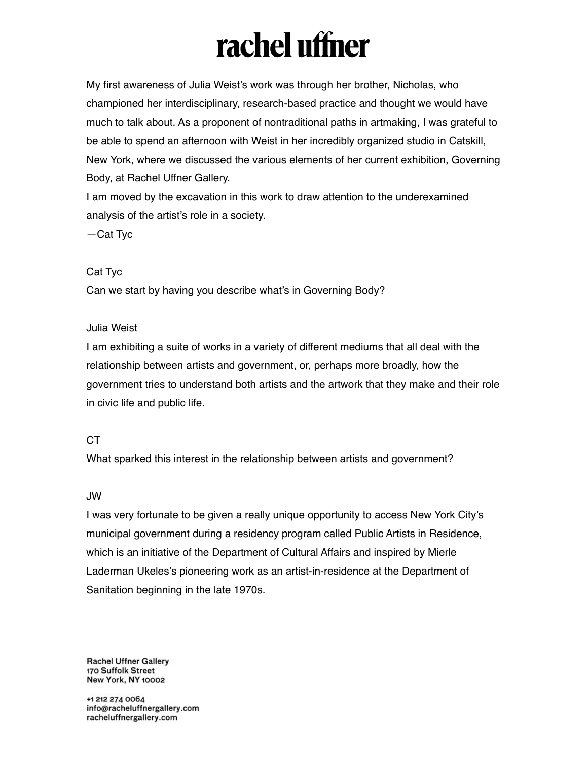My first awareness of Julia Weist's work was through her brother, Nicholas, who championed her interdisciplinary, research-based practice and thought we would have much to talk about. As a proponent of nontraditional paths in artmaking, I was grateful to be able to spend an afternoon with Weist in her incredibly organized studio in Catskill, New York, where we discussed the various elements of her current exhibition, Governing Body, at Rachel Uffner Gallery.

I am moved by the excavation in this work to draw attention to the underexamined analysis of the artist's role in a society.

—Cat Tyc

#### Cat Tyc

Can we start by having you describe what's in Governing Body?

#### Julia Weist

I am exhibiting a suite of works in a variety of different mediums that all deal with the relationship between artists and government, or, perhaps more broadly, how the government tries to understand both artists and the artwork that they make and their role in civic life and public life.

#### CT

What sparked this interest in the relationship between artists and government?

#### JW

I was very fortunate to be given a really unique opportunity to access New York City's municipal government during a residency program called Public Artists in Residence, which is an initiative of the Department of Cultural Affairs and inspired by Mierle Laderman Ukeles's pioneering work as an artist-in-residence at the Department of Sanitation beginning in the late 1970s.

**Rachel Uffner Gallery** 170 Suffolk Street New York, NY 10002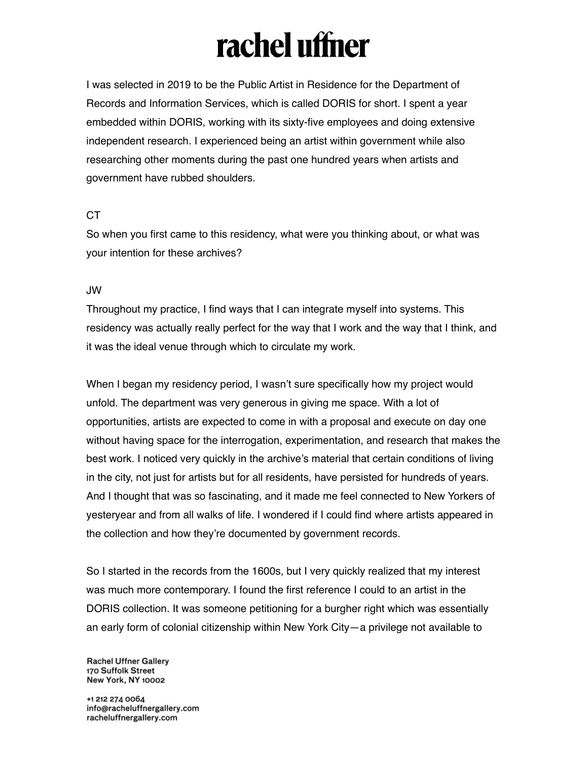I was selected in 2019 to be the Public Artist in Residence for the Department of Records and Information Services, which is called DORIS for short. I spent a year embedded within DORIS, working with its sixty-five employees and doing extensive independent research. I experienced being an artist within government while also researching other moments during the past one hundred years when artists and government have rubbed shoulders.

#### CT

So when you first came to this residency, what were you thinking about, or what was your intention for these archives?

#### JW

Throughout my practice, I find ways that I can integrate myself into systems. This residency was actually really perfect for the way that I work and the way that I think, and it was the ideal venue through which to circulate my work.

When I began my residency period, I wasn't sure specifically how my project would unfold. The department was very generous in giving me space. With a lot of opportunities, artists are expected to come in with a proposal and execute on day one without having space for the interrogation, experimentation, and research that makes the best work. I noticed very quickly in the archive's material that certain conditions of living in the city, not just for artists but for all residents, have persisted for hundreds of years. And I thought that was so fascinating, and it made me feel connected to New Yorkers of yesteryear and from all walks of life. I wondered if I could find where artists appeared in the collection and how they're documented by government records.

So I started in the records from the 1600s, but I very quickly realized that my interest was much more contemporary. I found the first reference I could to an artist in the DORIS collection. It was someone petitioning for a burgher right which was essentially an early form of colonial citizenship within New York City—a privilege not available to

**Rachel Uffner Gallery** 170 Suffolk Street New York, NY 10002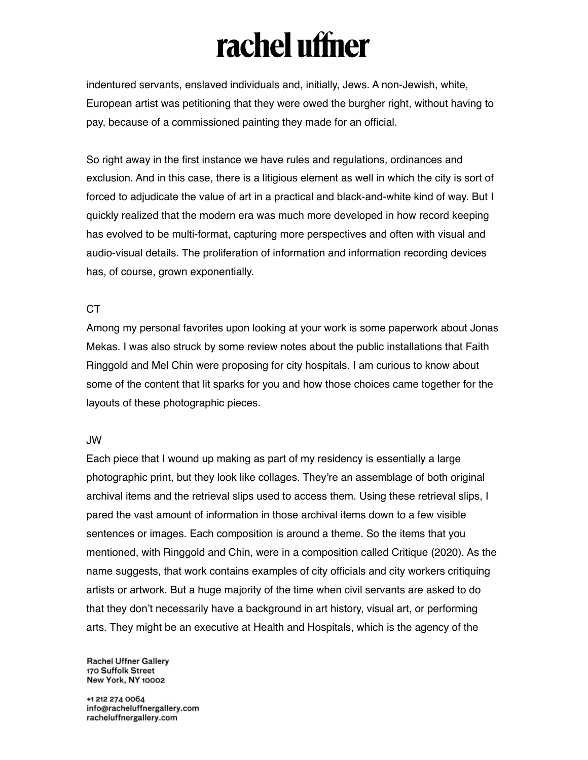indentured servants, enslaved individuals and, initially, Jews. A non-Jewish, white, European artist was petitioning that they were owed the burgher right, without having to pay, because of a commissioned painting they made for an official.

So right away in the first instance we have rules and regulations, ordinances and exclusion. And in this case, there is a litigious element as well in which the city is sort of forced to adjudicate the value of art in a practical and black-and-white kind of way. But I quickly realized that the modern era was much more developed in how record keeping has evolved to be multi-format, capturing more perspectives and often with visual and audio-visual details. The proliferation of information and information recording devices has, of course, grown exponentially.

#### CT

Among my personal favorites upon looking at your work is some paperwork about Jonas Mekas. I was also struck by some review notes about the public installations that Faith Ringgold and Mel Chin were proposing for city hospitals. I am curious to know about some of the content that lit sparks for you and how those choices came together for the layouts of these photographic pieces.

#### JW

Each piece that I wound up making as part of my residency is essentially a large photographic print, but they look like collages. They're an assemblage of both original archival items and the retrieval slips used to access them. Using these retrieval slips, I pared the vast amount of information in those archival items down to a few visible sentences or images. Each composition is around a theme. So the items that you mentioned, with Ringgold and Chin, were in a composition called Critique (2020). As the name suggests, that work contains examples of city officials and city workers critiquing artists or artwork. But a huge majority of the time when civil servants are asked to do that they don't necessarily have a background in art history, visual art, or performing arts. They might be an executive at Health and Hospitals, which is the agency of the

**Rachel Uffner Gallery** 170 Suffolk Street **New York, NY 10002**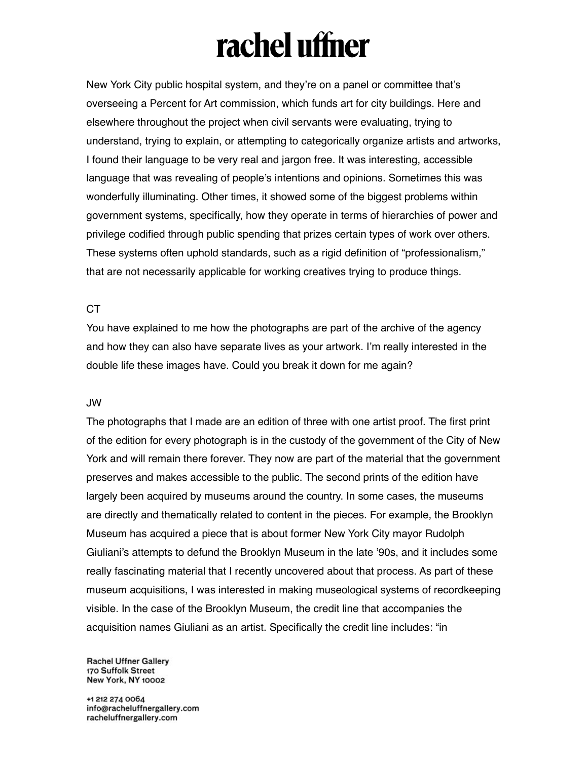New York City public hospital system, and they're on a panel or committee that's overseeing a Percent for Art commission, which funds art for city buildings. Here and elsewhere throughout the project when civil servants were evaluating, trying to understand, trying to explain, or attempting to categorically organize artists and artworks, I found their language to be very real and jargon free. It was interesting, accessible language that was revealing of people's intentions and opinions. Sometimes this was wonderfully illuminating. Other times, it showed some of the biggest problems within government systems, specifically, how they operate in terms of hierarchies of power and privilege codified through public spending that prizes certain types of work over others. These systems often uphold standards, such as a rigid definition of "professionalism," that are not necessarily applicable for working creatives trying to produce things.

#### CT

You have explained to me how the photographs are part of the archive of the agency and how they can also have separate lives as your artwork. I'm really interested in the double life these images have. Could you break it down for me again?

#### JW

The photographs that I made are an edition of three with one artist proof. The first print of the edition for every photograph is in the custody of the government of the City of New York and will remain there forever. They now are part of the material that the government preserves and makes accessible to the public. The second prints of the edition have largely been acquired by museums around the country. In some cases, the museums are directly and thematically related to content in the pieces. For example, the Brooklyn Museum has acquired a piece that is about former New York City mayor Rudolph Giuliani's attempts to defund the Brooklyn Museum in the late '90s, and it includes some really fascinating material that I recently uncovered about that process. As part of these museum acquisitions, I was interested in making museological systems of recordkeeping visible. In the case of the Brooklyn Museum, the credit line that accompanies the acquisition names Giuliani as an artist. Specifically the credit line includes: "in

**Rachel Uffner Gallery** 170 Suffolk Street New York, NY 10002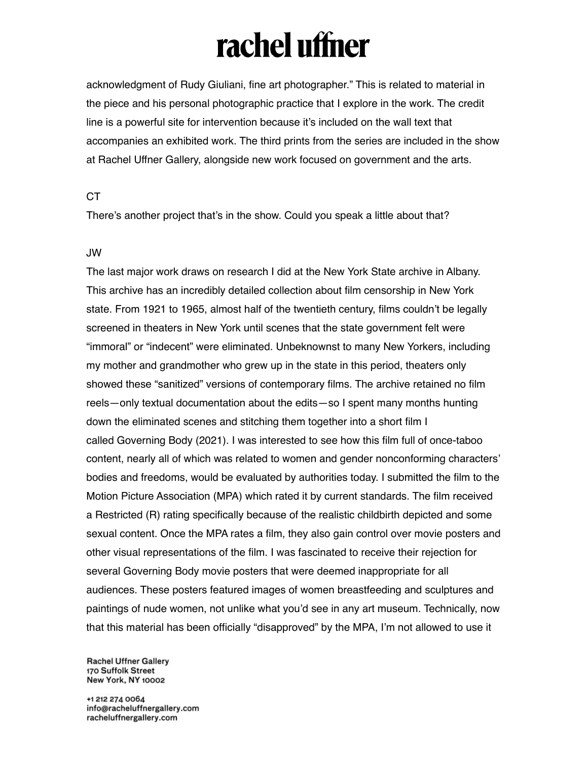acknowledgment of Rudy Giuliani, fine art photographer." This is related to material in the piece and his personal photographic practice that I explore in the work. The credit line is a powerful site for intervention because it's included on the wall text that accompanies an exhibited work. The third prints from the series are included in the show at Rachel Uffner Gallery, alongside new work focused on government and the arts.

#### **CT**

There's another project that's in the show. Could you speak a little about that?

#### JW

The last major work draws on research I did at the New York State archive in Albany. This archive has an incredibly detailed collection about film censorship in New York state. From 1921 to 1965, almost half of the twentieth century, films couldn't be legally screened in theaters in New York until scenes that the state government felt were "immoral" or "indecent" were eliminated. Unbeknownst to many New Yorkers, including my mother and grandmother who grew up in the state in this period, theaters only showed these "sanitized" versions of contemporary films. The archive retained no film reels—only textual documentation about the edits—so I spent many months hunting down the eliminated scenes and stitching them together into a short film I called Governing Body (2021). I was interested to see how this film full of once-taboo content, nearly all of which was related to women and gender nonconforming characters' bodies and freedoms, would be evaluated by authorities today. I submitted the film to the Motion Picture Association (MPA) which rated it by current standards. The film received a Restricted (R) rating specifically because of the realistic childbirth depicted and some sexual content. Once the MPA rates a film, they also gain control over movie posters and other visual representations of the film. I was fascinated to receive their rejection for several Governing Body movie posters that were deemed inappropriate for all audiences. These posters featured images of women breastfeeding and sculptures and paintings of nude women, not unlike what you'd see in any art museum. Technically, now that this material has been officially "disapproved" by the MPA, I'm not allowed to use it

**Rachel Uffner Gallery** 170 Suffolk Street New York, NY 10002